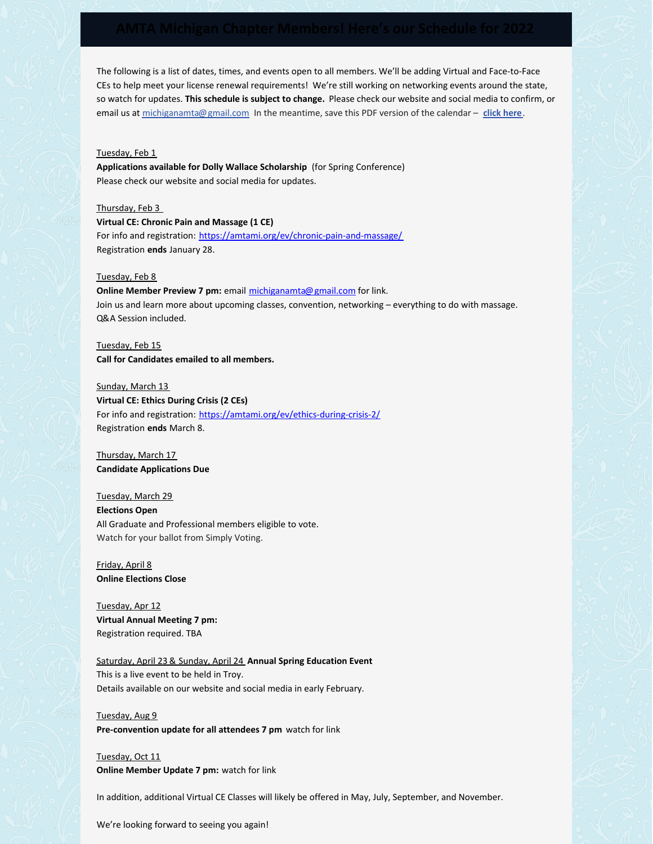The following is a list of dates, times, and events open to all members. We'll be adding Virtual and Face-to-Face CEs to help meet your license renewal requirements! We're still working on networking events around the state, so watch for updates. **This schedule is subject to change.** Please check our website and social media to confirm, or email us at [michiganamta@gmail.com](mailto:michiganamta@gmail.com) In the meantime, save this PDF version of the calendar – **click [here](https://files.constantcontact.com/f0164f5c301/ddf7d7f6-d7da-4ea0-9b4c-bec1baf49e65.pdf)**.

### Tuesday, Feb 1

**Applications available for Dolly Wallace Scholarship** (for Spring Conference) Please check our website and social media for updates.

Thursday, Feb 3

**Virtual CE: Chronic Pain and Massage (1 CE)** For info and registration: https://amtami.org/ev/chronic-pain-and-massage/ Registration **ends** January 28.

#### Tuesday, Feb 8

**Online Member Preview 7 pm:** email michiganamta@gmail.com for link. Join us and learn more about upcoming classes, convention, networking – everything to do with massage. Q&A Session included.

Tuesday, Feb 15 **Call for Candidates emailed to all members.**

Sunday, March 13 **Virtual CE: Ethics During Crisis (2 CEs)** For info and registration: https://amtami.org/ev/ethics-during-crisis-2/ Registration **ends** March 8.

Thursday, March 17 **Candidate Applications Due**

Tuesday, March 29 **Elections Open** All Graduate and Professional members eligible to vote. Watch for your ballot from Simply Voting.

Friday, April 8 **Online Elections Close**

Tuesday, Apr 12 **Virtual Annual Meeting 7 pm:** Registration required. TBA

Saturday, April 23 & Sunday, April 24 **Annual Spring Education Event** This is a live event to be held in Troy. Details available on our website and social media in early February.

Tuesday, Aug 9 **Pre-convention update for all attendees 7 pm** watch for link

Tuesday, Oct 11 **Online Member Update 7 pm:** watch for link

In addition, additional Virtual CE Classes will likely be offered in May, July, September, and November.

We're looking forward to seeing you again!